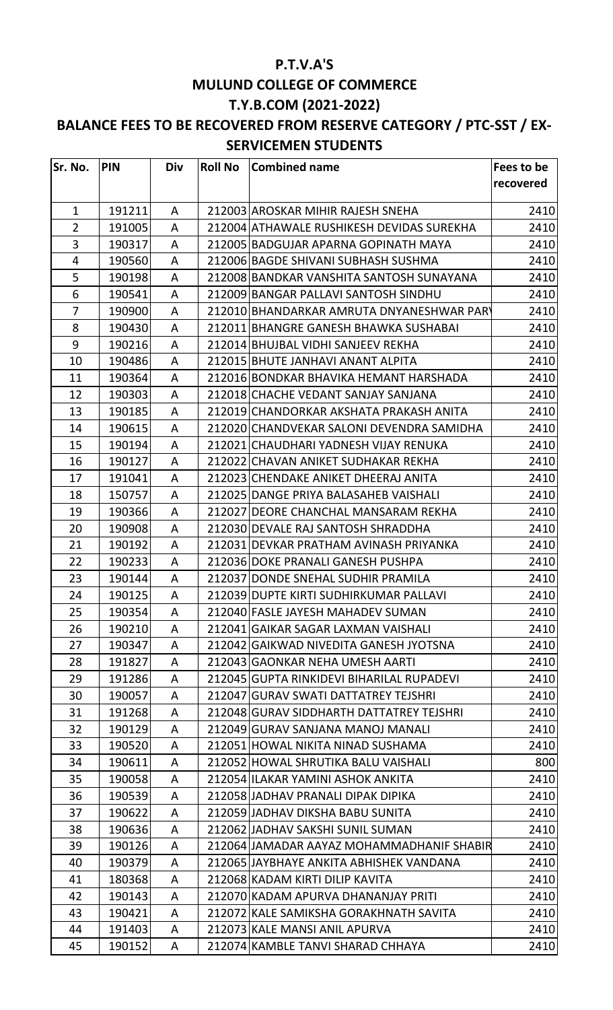## **P.T.V.A'S MULUND COLLEGE OF COMMERCE T.Y.B.COM (2021-2022)**

## **BALANCE FEES TO BE RECOVERED FROM RESERVE CATEGORY / PTC-SST / EX-SERVICEMEN STUDENTS**

| Sr. No.        | <b>PIN</b> | Div | <b>Roll No</b> | <b>Combined name</b>                      | Fees to be |
|----------------|------------|-----|----------------|-------------------------------------------|------------|
|                |            |     |                |                                           | recovered  |
| $\mathbf{1}$   | 191211     | A   |                | 212003 AROSKAR MIHIR RAJESH SNEHA         | 2410       |
| $\overline{2}$ | 191005     | A   |                | 212004 ATHAWALE RUSHIKESH DEVIDAS SUREKHA | 2410       |
| 3              | 190317     | A   |                | 212005 BADGUJAR APARNA GOPINATH MAYA      | 2410       |
| 4              | 190560     | A   |                | 212006 BAGDE SHIVANI SUBHASH SUSHMA       | 2410       |
| 5              | 190198     | A   |                | 212008 BANDKAR VANSHITA SANTOSH SUNAYANA  | 2410       |
| 6              | 190541     | A   |                | 212009 BANGAR PALLAVI SANTOSH SINDHU      | 2410       |
| $\overline{7}$ | 190900     | A   |                | 212010 BHANDARKAR AMRUTA DNYANESHWAR PARY | 2410       |
| 8              | 190430     | A   |                | 212011 BHANGRE GANESH BHAWKA SUSHABAI     | 2410       |
| 9              | 190216     | A   |                | 212014 BHUJBAL VIDHI SANJEEV REKHA        | 2410       |
| 10             | 190486     | A   |                | 212015 BHUTE JANHAVI ANANT ALPITA         | 2410       |
| 11             | 190364     | A   |                | 212016 BONDKAR BHAVIKA HEMANT HARSHADA    | 2410       |
| 12             | 190303     | A   |                | 212018 CHACHE VEDANT SANJAY SANJANA       | 2410       |
| 13             | 190185     | A   |                | 212019 CHANDORKAR AKSHATA PRAKASH ANITA   | 2410       |
| 14             | 190615     | A   |                | 212020 CHANDVEKAR SALONI DEVENDRA SAMIDHA | 2410       |
| 15             | 190194     | A   |                | 212021 CHAUDHARI YADNESH VIJAY RENUKA     | 2410       |
| 16             | 190127     | A   |                | 212022 CHAVAN ANIKET SUDHAKAR REKHA       | 2410       |
| 17             | 191041     | A   |                | 212023 CHENDAKE ANIKET DHEERAJ ANITA      | 2410       |
| 18             | 150757     | A   |                | 212025 DANGE PRIYA BALASAHEB VAISHALI     | 2410       |
| 19             | 190366     | A   |                | 212027 DEORE CHANCHAL MANSARAM REKHA      | 2410       |
| 20             | 190908     | A   |                | 212030 DEVALE RAJ SANTOSH SHRADDHA        | 2410       |
| 21             | 190192     | A   |                | 212031 DEVKAR PRATHAM AVINASH PRIYANKA    | 2410       |
| 22             | 190233     | A   |                | 212036 DOKE PRANALI GANESH PUSHPA         | 2410       |
| 23             | 190144     | A   |                | 212037 DONDE SNEHAL SUDHIR PRAMILA        | 2410       |
| 24             | 190125     | A   |                | 212039 DUPTE KIRTI SUDHIRKUMAR PALLAVI    | 2410       |
| 25             | 190354     | A   |                | 212040 FASLE JAYESH MAHADEV SUMAN         | 2410       |
| 26             | 190210     | A   |                | 212041 GAIKAR SAGAR LAXMAN VAISHALI       | 2410       |
| 27             | 190347     | A   |                | 212042 GAIKWAD NIVEDITA GANESH JYOTSNA    | 2410       |
| 28             | 191827     | A   |                | 212043 GAONKAR NEHA UMESH AARTI           | 2410       |
| 29             | 191286     | A   |                | 212045 GUPTA RINKIDEVI BIHARILAL RUPADEVI | 2410       |
| 30             | 190057     | A   |                | 212047 GURAV SWATI DATTATREY TEJSHRI      | 2410       |
| 31             | 191268     | A   |                | 212048 GURAV SIDDHARTH DATTATREY TEJSHRI  | 2410       |
| 32             | 190129     | A   |                | 212049 GURAV SANJANA MANOJ MANALI         | 2410       |
| 33             | 190520     | A   |                | 212051 HOWAL NIKITA NINAD SUSHAMA         | 2410       |
| 34             | 190611     | A   |                | 212052 HOWAL SHRUTIKA BALU VAISHALI       | 800        |
| 35             | 190058     | A   |                | 212054 ILAKAR YAMINI ASHOK ANKITA         | 2410       |
| 36             | 190539     | A   |                | 212058 JADHAV PRANALI DIPAK DIPIKA        | 2410       |
| 37             | 190622     | A   |                | 212059 JADHAV DIKSHA BABU SUNITA          | 2410       |
| 38             | 190636     | A   |                | 212062 JADHAV SAKSHI SUNIL SUMAN          | 2410       |
| 39             | 190126     | A   |                | 212064 JAMADAR AAYAZ MOHAMMADHANIF SHABIR | 2410       |
| 40             | 190379     | A   |                | 212065 JJAYBHAYE ANKITA ABHISHEK VANDANA  | 2410       |
| 41             | 180368     | A   |                | 212068 KADAM KIRTI DILIP KAVITA           | 2410       |
| 42             | 190143     | A   |                | 212070 KADAM APURVA DHANANJAY PRITI       | 2410       |
| 43             | 190421     | A   |                | 212072 KALE SAMIKSHA GORAKHNATH SAVITA    | 2410       |
| 44             | 191403     | A   |                | 212073 KALE MANSI ANIL APURVA             | 2410       |
| 45             | 190152     | A   |                | 212074 KAMBLE TANVI SHARAD CHHAYA         | 2410       |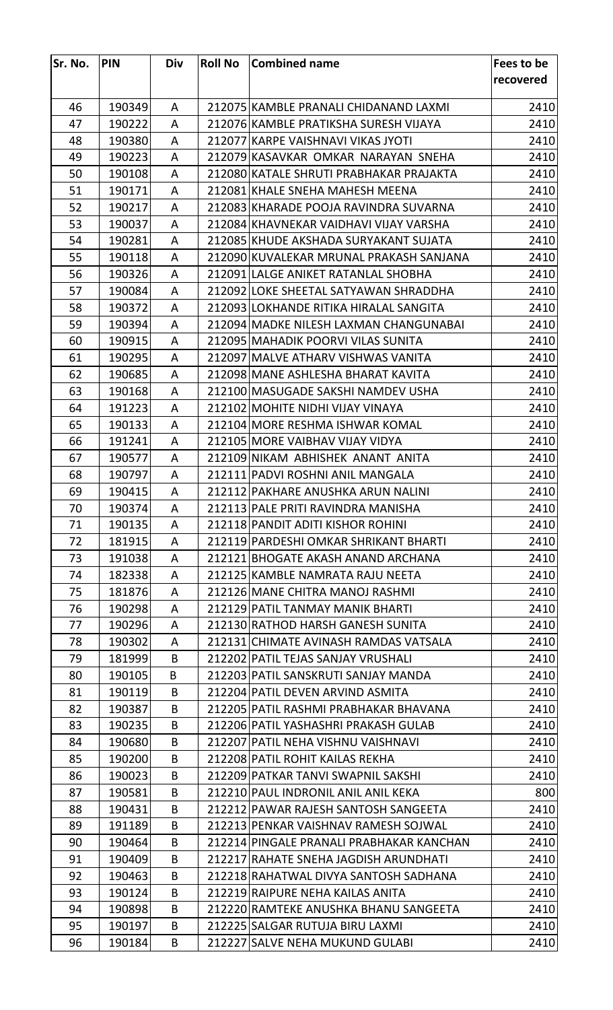| Sr. No. | <b>PIN</b> | Div | <b>Roll No</b> | <b>Combined name</b>                     | Fees to be |
|---------|------------|-----|----------------|------------------------------------------|------------|
|         |            |     |                |                                          | recovered  |
|         |            |     |                |                                          |            |
| 46      | 190349     | A   |                | 212075 KAMBLE PRANALI CHIDANAND LAXMI    | 2410       |
| 47      | 190222     | A   |                | 212076 KAMBLE PRATIKSHA SURESH VIJAYA    | 2410       |
| 48      | 190380     | A   |                | 212077 KARPE VAISHNAVI VIKAS JYOTI       | 2410       |
| 49      | 190223     | A   |                | 212079 KASAVKAR OMKAR NARAYAN SNEHA      | 2410       |
| 50      | 190108     | A   |                | 212080 KATALE SHRUTI PRABHAKAR PRAJAKTA  | 2410       |
| 51      | 190171     | A   |                | 212081 KHALE SNEHA MAHESH MEENA          | 2410       |
| 52      | 190217     | A   |                | 212083 KHARADE POOJA RAVINDRA SUVARNA    | 2410       |
| 53      | 190037     | A   |                | 212084 KHAVNEKAR VAIDHAVI VIJAY VARSHA   | 2410       |
| 54      | 190281     | A   |                | 212085 KHUDE AKSHADA SURYAKANT SUJATA    | 2410       |
| 55      | 190118     | A   |                | 212090 KUVALEKAR MRUNAL PRAKASH SANJANA  | 2410       |
| 56      | 190326     | A   |                | 212091 LALGE ANIKET RATANLAL SHOBHA      | 2410       |
| 57      | 190084     | A   |                | 212092 LOKE SHEETAL SATYAWAN SHRADDHA    | 2410       |
| 58      | 190372     | A   |                | 212093 LOKHANDE RITIKA HIRALAL SANGITA   | 2410       |
| 59      | 190394     | A   |                | 212094 MADKE NILESH LAXMAN CHANGUNABAI   | 2410       |
| 60      | 190915     | A   |                | 212095 MAHADIK POORVI VILAS SUNITA       | 2410       |
| 61      | 190295     | A   |                | 212097 MALVE ATHARV VISHWAS VANITA       | 2410       |
| 62      | 190685     | A   |                | 212098 MANE ASHLESHA BHARAT KAVITA       | 2410       |
| 63      | 190168     | A   |                | 212100 MASUGADE SAKSHI NAMDEV USHA       | 2410       |
| 64      | 191223     | A   |                | 212102 MOHITE NIDHI VIJAY VINAYA         | 2410       |
| 65      | 190133     | A   |                | 212104 MORE RESHMA ISHWAR KOMAL          | 2410       |
| 66      | 191241     | A   |                | 212105 MORE VAIBHAV VIJAY VIDYA          | 2410       |
| 67      | 190577     | A   |                | 212109 NIKAM ABHISHEK ANANT ANITA        | 2410       |
| 68      | 190797     | A   |                | 212111 PADVI ROSHNI ANIL MANGALA         | 2410       |
| 69      | 190415     | A   |                | 212112 PAKHARE ANUSHKA ARUN NALINI       | 2410       |
| 70      | 190374     | A   |                | 212113 PALE PRITI RAVINDRA MANISHA       | 2410       |
| 71      | 190135     | A   |                | 212118 PANDIT ADITI KISHOR ROHINI        | 2410       |
| 72      | 181915     | A   |                | 212119 PARDESHI OMKAR SHRIKANT BHARTI    | 2410       |
| 73      | 191038     | A   |                | 212121 BHOGATE AKASH ANAND ARCHANA       | 2410       |
| 74      | 182338     | A   |                | 212125 KAMBLE NAMRATA RAJU NEETA         | 2410       |
| 75      | 181876     | A   |                | 212126 MANE CHITRA MANOJ RASHMI          | 2410       |
| 76      | 190298     | A   |                | 212129 PATIL TANMAY MANIK BHARTI         | 2410       |
| 77      | 190296     | A   |                | 212130 RATHOD HARSH GANESH SUNITA        | 2410       |
| 78      | 190302     | A   |                | 212131 CHIMATE AVINASH RAMDAS VATSALA    | 2410       |
| 79      | 181999     | B   |                | 212202 PATIL TEJAS SANJAY VRUSHALI       | 2410       |
| 80      | 190105     | B   |                | 212203 PATIL SANSKRUTI SANJAY MANDA      | 2410       |
| 81      | 190119     | B   |                | 212204 PATIL DEVEN ARVIND ASMITA         | 2410       |
| 82      | 190387     | B   |                | 212205 PATIL RASHMI PRABHAKAR BHAVANA    | 2410       |
| 83      | 190235     | B   |                | 212206 PATIL YASHASHRI PRAKASH GULAB     | 2410       |
| 84      | 190680     | B   |                | 212207 PATIL NEHA VISHNU VAISHNAVI       | 2410       |
| 85      | 190200     | B   |                | 212208 PATIL ROHIT KAILAS REKHA          | 2410       |
| 86      | 190023     | B   |                | 212209 PATKAR TANVI SWAPNIL SAKSHI       | 2410       |
| 87      | 190581     | B   |                | 212210 PAUL INDRONIL ANIL ANIL KEKA      | 800        |
| 88      | 190431     | B   |                | 212212 PAWAR RAJESH SANTOSH SANGEETA     | 2410       |
| 89      | 191189     | B   |                | 212213 PENKAR VAISHNAV RAMESH SOJWAL     | 2410       |
| 90      | 190464     | B   |                | 212214 PINGALE PRANALI PRABHAKAR KANCHAN | 2410       |
| 91      | 190409     | B   |                | 212217 RAHATE SNEHA JAGDISH ARUNDHATI    | 2410       |
| 92      | 190463     | B   |                | 212218 RAHATWAL DIVYA SANTOSH SADHANA    | 2410       |
| 93      | 190124     | B   |                | 212219 RAIPURE NEHA KAILAS ANITA         | 2410       |
| 94      | 190898     | B   |                | 212220 RAMTEKE ANUSHKA BHANU SANGEETA    | 2410       |
| 95      | 190197     | B   |                | 212225 SALGAR RUTUJA BIRU LAXMI          | 2410       |
| 96      | 190184     | B   |                | 212227 SALVE NEHA MUKUND GULABI          | 2410       |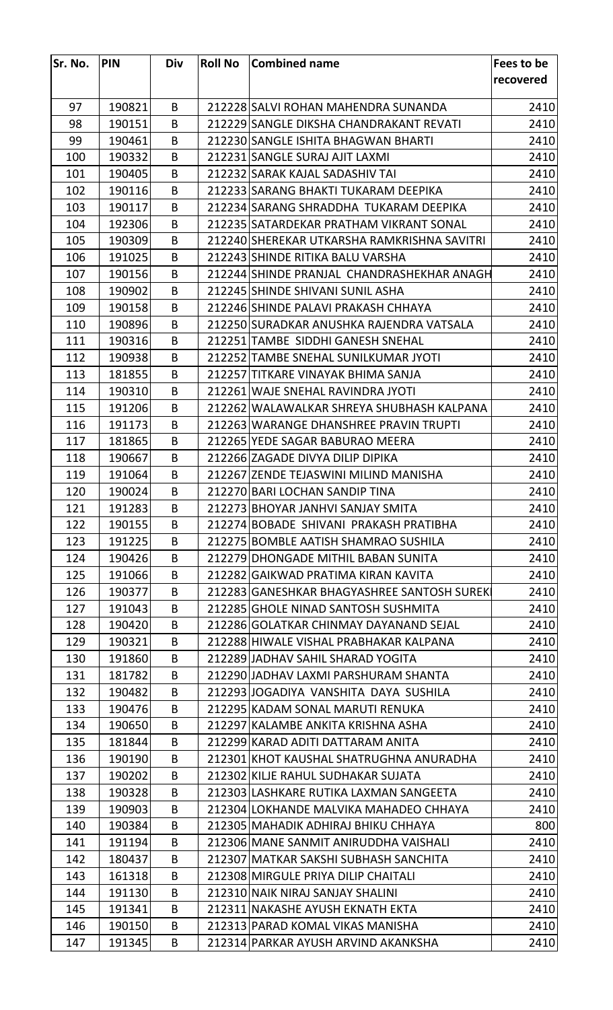| Sr. No. | <b>PIN</b> | <b>Div</b> | <b>Roll No</b> | Combined name                               | Fees to be |
|---------|------------|------------|----------------|---------------------------------------------|------------|
|         |            |            |                |                                             | recovered  |
|         |            |            |                |                                             |            |
| 97      | 190821     | B          |                | 212228 SALVI ROHAN MAHENDRA SUNANDA         | 2410       |
| 98      | 190151     | B          |                | 212229 SANGLE DIKSHA CHANDRAKANT REVATI     | 2410       |
| 99      | 190461     | B          |                | 212230 SANGLE ISHITA BHAGWAN BHARTI         | 2410       |
| 100     | 190332     | B          |                | 212231 SANGLE SURAJ AJIT LAXMI              | 2410       |
| 101     | 190405     | B          |                | 212232 SARAK KAJAL SADASHIV TAI             | 2410       |
| 102     | 190116     | B          |                | 212233 SARANG BHAKTI TUKARAM DEEPIKA        | 2410       |
| 103     | 190117     | B          |                | 212234 SARANG SHRADDHA TUKARAM DEEPIKA      | 2410       |
| 104     | 192306     | B          |                | 212235 SATARDEKAR PRATHAM VIKRANT SONAL     | 2410       |
| 105     | 190309     | B          |                | 212240 SHEREKAR UTKARSHA RAMKRISHNA SAVITRI | 2410       |
| 106     | 191025     | B          |                | 212243 SHINDE RITIKA BALU VARSHA            | 2410       |
| 107     | 190156     | B          |                | 212244 SHINDE PRANJAL CHANDRASHEKHAR ANAGH  | 2410       |
| 108     | 190902     | B          |                | 212245 SHINDE SHIVANI SUNIL ASHA            | 2410       |
| 109     | 190158     | B          |                | 212246 SHINDE PALAVI PRAKASH CHHAYA         | 2410       |
| 110     | 190896     | B          |                | 212250 SURADKAR ANUSHKA RAJENDRA VATSALA    | 2410       |
| 111     | 190316     | B          |                | 212251 TAMBE SIDDHI GANESH SNEHAL           | 2410       |
| 112     | 190938     | B          |                | 212252 TAMBE SNEHAL SUNILKUMAR JYOTI        | 2410       |
| 113     | 181855     | B          |                | 212257 TITKARE VINAYAK BHIMA SANJA          | 2410       |
| 114     | 190310     | B          |                | 212261 WAJE SNEHAL RAVINDRA JYOTI           | 2410       |
| 115     | 191206     | B          |                | 212262 WALAWALKAR SHREYA SHUBHASH KALPANA   | 2410       |
| 116     | 191173     | B          |                | 212263 WARANGE DHANSHREE PRAVIN TRUPTI      | 2410       |
| 117     | 181865     | B          |                | 212265 YEDE SAGAR BABURAO MEERA             | 2410       |
| 118     | 190667     | B          |                | 212266 ZAGADE DIVYA DILIP DIPIKA            | 2410       |
| 119     | 191064     | B          |                | 212267 ZENDE TEJASWINI MILIND MANISHA       | 2410       |
| 120     | 190024     | B          |                | 212270 BARI LOCHAN SANDIP TINA              | 2410       |
| 121     | 191283     | B          |                | 212273 BHOYAR JANHVI SANJAY SMITA           | 2410       |
| 122     | 190155     | B          |                | 212274 BOBADE SHIVANI PRAKASH PRATIBHA      | 2410       |
| 123     | 191225     | B          |                | 212275 BOMBLE AATISH SHAMRAO SUSHILA        | 2410       |
| 124     | 190426     | B          |                | 212279 DHONGADE MITHIL BABAN SUNITA         | 2410       |
| 125     | 191066     | B          |                | 212282 GAIKWAD PRATIMA KIRAN KAVITA         | 2410       |
| 126     | 190377     | B          |                | 212283 GANESHKAR BHAGYASHREE SANTOSH SUREK  | 2410       |
| 127     | 191043     | B          |                | 212285 GHOLE NINAD SANTOSH SUSHMITA         | 2410       |
| 128     | 190420     | B          |                | 212286 GOLATKAR CHINMAY DAYANAND SEJAL      | 2410       |
| 129     | 190321     | B          |                | 212288 HIWALE VISHAL PRABHAKAR KALPANA      | 2410       |
| 130     | 191860     | B          |                | 212289 JADHAV SAHIL SHARAD YOGITA           | 2410       |
| 131     | 181782     | B          |                | 212290 JADHAV LAXMI PARSHURAM SHANTA        | 2410       |
| 132     | 190482     | B          |                | 212293 JOGADIYA VANSHITA DAYA SUSHILA       | 2410       |
| 133     | 190476     | B          |                | 212295 KADAM SONAL MARUTI RENUKA            | 2410       |
| 134     | 190650     | B          |                | 212297 KALAMBE ANKITA KRISHNA ASHA          | 2410       |
| 135     | 181844     | B          |                | 212299 KARAD ADITI DATTARAM ANITA           | 2410       |
| 136     | 190190     | B          |                | 212301 KHOT KAUSHAL SHATRUGHNA ANURADHA     | 2410       |
| 137     | 190202     | B          |                | 212302 KILJE RAHUL SUDHAKAR SUJATA          | 2410       |
| 138     | 190328     | B          |                | 212303 LASHKARE RUTIKA LAXMAN SANGEETA      | 2410       |
| 139     | 190903     | B          |                | 212304 LOKHANDE MALVIKA MAHADEO CHHAYA      | 2410       |
| 140     | 190384     | B          |                | 212305 MAHADIK ADHIRAJ BHIKU CHHAYA         | 800        |
| 141     | 191194     | B          |                | 212306 MANE SANMIT ANIRUDDHA VAISHALI       | 2410       |
| 142     | 180437     | B          |                | 212307 MATKAR SAKSHI SUBHASH SANCHITA       | 2410       |
| 143     | 161318     | B          |                | 212308 MIRGULE PRIYA DILIP CHAITALI         | 2410       |
| 144     | 191130     | B          |                | 212310 NAIK NIRAJ SANJAY SHALINI            | 2410       |
| 145     | 191341     | B          |                | 212311 NAKASHE AYUSH EKNATH EKTA            | 2410       |
| 146     | 190150     | B          |                | 212313 PARAD KOMAL VIKAS MANISHA            | 2410       |
| 147     | 191345     | B          |                | 212314 PARKAR AYUSH ARVIND AKANKSHA         | 2410       |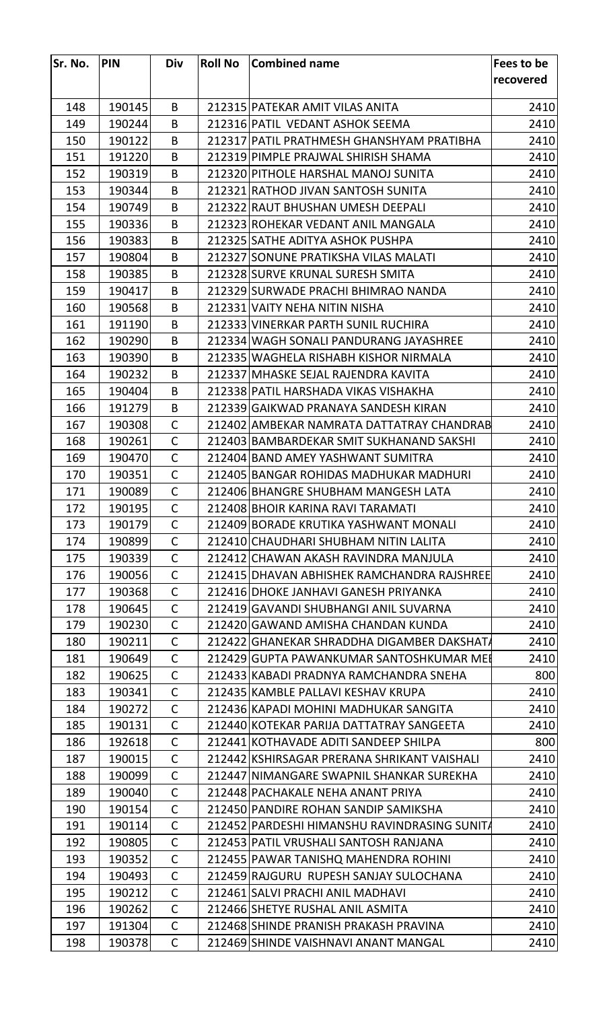| Sr. No. | <b>PIN</b> | Div          | <b>Roll No</b> | Combined name                                | Fees to be |
|---------|------------|--------------|----------------|----------------------------------------------|------------|
|         |            |              |                |                                              | recovered  |
|         |            |              |                |                                              |            |
| 148     | 190145     | B            |                | 212315 PATEKAR AMIT VILAS ANITA              | 2410       |
| 149     | 190244     | B            |                | 212316 PATIL VEDANT ASHOK SEEMA              | 2410       |
| 150     | 190122     | B            |                | 212317 PATIL PRATHMESH GHANSHYAM PRATIBHA    | 2410       |
| 151     | 191220     | B            |                | 212319 PIMPLE PRAJWAL SHIRISH SHAMA          | 2410       |
| 152     | 190319     | B            |                | 212320 PITHOLE HARSHAL MANOJ SUNITA          | 2410       |
| 153     | 190344     | B            |                | 212321 RATHOD JIVAN SANTOSH SUNITA           | 2410       |
| 154     | 190749     | B            |                | 212322 RAUT BHUSHAN UMESH DEEPALI            | 2410       |
| 155     | 190336     | B            |                | 212323 ROHEKAR VEDANT ANIL MANGALA           | 2410       |
| 156     | 190383     | B            |                | 212325 SATHE ADITYA ASHOK PUSHPA             | 2410       |
| 157     | 190804     | B            |                | 212327 SONUNE PRATIKSHA VILAS MALATI         | 2410       |
| 158     | 190385     | B            |                | 212328 SURVE KRUNAL SURESH SMITA             | 2410       |
| 159     | 190417     | B            |                | 212329 SURWADE PRACHI BHIMRAO NANDA          | 2410       |
| 160     | 190568     | B            |                | 212331 VAITY NEHA NITIN NISHA                | 2410       |
| 161     | 191190     | B            |                | 212333 VINERKAR PARTH SUNIL RUCHIRA          | 2410       |
| 162     | 190290     | B            |                | 212334 WAGH SONALI PANDURANG JAYASHREE       | 2410       |
| 163     | 190390     | B            |                | 212335 WAGHELA RISHABH KISHOR NIRMALA        | 2410       |
| 164     | 190232     | B            |                | 212337 MHASKE SEJAL RAJENDRA KAVITA          | 2410       |
| 165     | 190404     | B            |                | 212338 PATIL HARSHADA VIKAS VISHAKHA         | 2410       |
| 166     | 191279     | B            |                | 212339 GAIKWAD PRANAYA SANDESH KIRAN         | 2410       |
| 167     | 190308     | C            |                | 212402 AMBEKAR NAMRATA DATTATRAY CHANDRAB    | 2410       |
| 168     | 190261     | $\mathsf{C}$ |                | 212403 BAMBARDEKAR SMIT SUKHANAND SAKSHI     | 2410       |
| 169     | 190470     | $\mathsf{C}$ |                | 212404 BAND AMEY YASHWANT SUMITRA            | 2410       |
| 170     | 190351     | $\mathsf{C}$ |                | 212405 BANGAR ROHIDAS MADHUKAR MADHURI       | 2410       |
| 171     | 190089     | $\mathsf{C}$ |                | 212406 BHANGRE SHUBHAM MANGESH LATA          | 2410       |
| 172     | 190195     | C            |                | 212408 BHOIR KARINA RAVI TARAMATI            | 2410       |
| 173     | 190179     | $\mathsf{C}$ |                | 212409 BORADE KRUTIKA YASHWANT MONALI        | 2410       |
| 174     | 190899     | C            |                | 212410 CHAUDHARI SHUBHAM NITIN LALITA        | 2410       |
| 175     | 190339     | $\mathsf{C}$ |                | 212412 CHAWAN AKASH RAVINDRA MANJULA         | 2410       |
| 176     | 190056     | C            |                | 212415 DHAVAN ABHISHEK RAMCHANDRA RAJSHREE   | 2410       |
| 177     | 190368     | $\mathsf{C}$ |                | 212416 DHOKE JANHAVI GANESH PRIYANKA         | 2410       |
| 178     | 190645     | $\mathsf{C}$ |                | 212419 GAVANDI SHUBHANGI ANIL SUVARNA        | 2410       |
| 179     | 190230     | $\mathsf{C}$ |                | 212420 GAWAND AMISHA CHANDAN KUNDA           | 2410       |
| 180     | 190211     | $\mathsf{C}$ |                | 212422 GHANEKAR SHRADDHA DIGAMBER DAKSHATA   | 2410       |
| 181     | 190649     | C            |                | 212429 GUPTA PAWANKUMAR SANTOSHKUMAR MEI     | 2410       |
| 182     | 190625     | $\mathsf{C}$ |                | 212433 KABADI PRADNYA RAMCHANDRA SNEHA       | 800        |
| 183     | 190341     | C            |                | 212435 KAMBLE PALLAVI KESHAV KRUPA           | 2410       |
| 184     | 190272     | $\mathsf{C}$ |                | 212436 KAPADI MOHINI MADHUKAR SANGITA        | 2410       |
| 185     | 190131     | $\mathsf{C}$ |                | 212440 KOTEKAR PARIJA DATTATRAY SANGEETA     | 2410       |
| 186     | 192618     | C            |                | 212441 KOTHAVADE ADITI SANDEEP SHILPA        | 800        |
| 187     | 190015     | $\mathsf{C}$ |                | 212442 KSHIRSAGAR PRERANA SHRIKANT VAISHALI  | 2410       |
| 188     | 190099     | C            |                | 212447 NIMANGARE SWAPNIL SHANKAR SUREKHA     | 2410       |
| 189     | 190040     | $\mathsf{C}$ |                | 212448 PACHAKALE NEHA ANANT PRIYA            | 2410       |
| 190     | 190154     | C            |                | 212450 PANDIRE ROHAN SANDIP SAMIKSHA         | 2410       |
| 191     | 190114     | $\mathsf{C}$ |                | 212452 PARDESHI HIMANSHU RAVINDRASING SUNITA | 2410       |
| 192     | 190805     | $\mathsf{C}$ |                | 212453 PATIL VRUSHALI SANTOSH RANJANA        | 2410       |
| 193     | 190352     | $\mathsf{C}$ |                | 212455 PAWAR TANISHQ MAHENDRA ROHINI         | 2410       |
| 194     | 190493     | C            |                | 212459 RAJGURU RUPESH SANJAY SULOCHANA       | 2410       |
| 195     | 190212     | C            |                | 212461 SALVI PRACHI ANIL MADHAVI             | 2410       |
| 196     | 190262     | $\mathsf{C}$ |                | 212466 SHETYE RUSHAL ANIL ASMITA             | 2410       |
| 197     | 191304     | $\mathsf{C}$ |                | 212468 SHINDE PRANISH PRAKASH PRAVINA        | 2410       |
| 198     | 190378     | $\mathsf C$  |                | 212469 SHINDE VAISHNAVI ANANT MANGAL         | 2410       |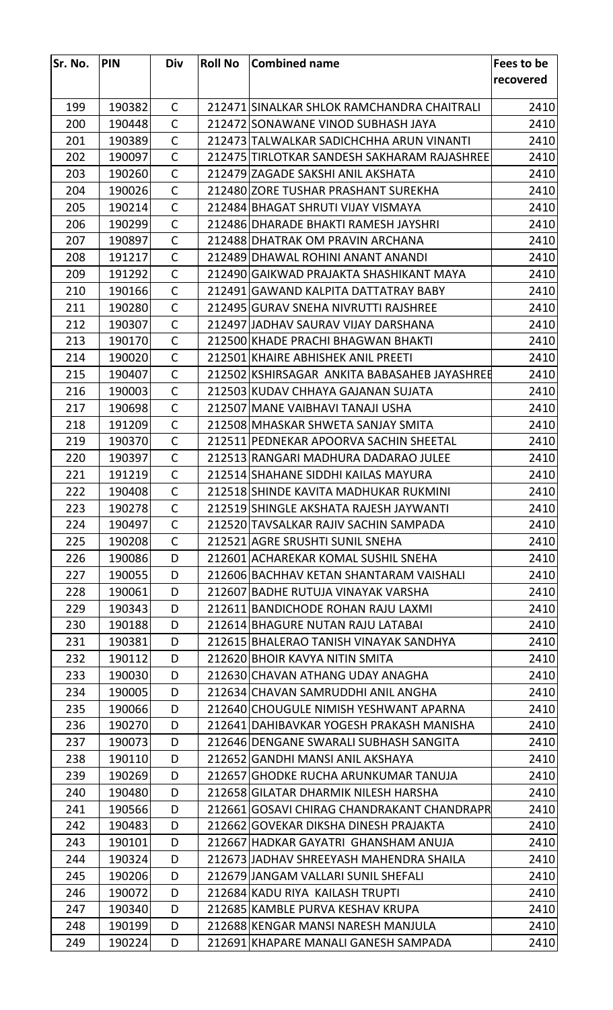| Sr. No. | <b>PIN</b> | <b>Div</b>   | <b>Roll No</b> | <b>Combined name</b>                         | Fees to be |
|---------|------------|--------------|----------------|----------------------------------------------|------------|
|         |            |              |                |                                              | recovered  |
|         |            |              |                |                                              |            |
| 199     | 190382     | $\mathsf{C}$ |                | 212471 SINALKAR SHLOK RAMCHANDRA CHAITRALI   | 2410       |
| 200     | 190448     | $\mathsf{C}$ |                | 212472 SONAWANE VINOD SUBHASH JAYA           | 2410       |
| 201     | 190389     | $\mathsf{C}$ |                | 212473 TALWALKAR SADICHCHHA ARUN VINANTI     | 2410       |
| 202     | 190097     | $\mathsf{C}$ |                | 212475 TIRLOTKAR SANDESH SAKHARAM RAJASHREE  | 2410       |
| 203     | 190260     | $\mathsf{C}$ |                | 212479 ZAGADE SAKSHI ANIL AKSHATA            | 2410       |
| 204     | 190026     | $\mathsf{C}$ |                | 212480 ZORE TUSHAR PRASHANT SUREKHA          | 2410       |
| 205     | 190214     | $\mathsf{C}$ |                | 212484 BHAGAT SHRUTI VIJAY VISMAYA           | 2410       |
| 206     | 190299     | $\mathsf{C}$ |                | 212486 DHARADE BHAKTI RAMESH JAYSHRI         | 2410       |
| 207     | 190897     | $\mathsf{C}$ |                | 212488 DHATRAK OM PRAVIN ARCHANA             | 2410       |
| 208     | 191217     | $\mathsf{C}$ |                | 212489 DHAWAL ROHINI ANANT ANANDI            | 2410       |
| 209     | 191292     | $\mathsf{C}$ |                | 212490 GAIKWAD PRAJAKTA SHASHIKANT MAYA      | 2410       |
| 210     | 190166     | $\mathsf{C}$ |                | 212491 GAWAND KALPITA DATTATRAY BABY         | 2410       |
| 211     | 190280     | $\mathsf{C}$ |                | 212495 GURAV SNEHA NIVRUTTI RAJSHREE         | 2410       |
| 212     | 190307     | $\mathsf{C}$ |                | 212497 JJADHAV SAURAV VIJAY DARSHANA         | 2410       |
| 213     | 190170     | $\mathsf{C}$ |                | 212500 KHADE PRACHI BHAGWAN BHAKTI           | 2410       |
| 214     | 190020     | C            |                | 212501 KHAIRE ABHISHEK ANIL PREETI           | 2410       |
| 215     | 190407     | $\mathsf{C}$ |                | 212502 KSHIRSAGAR ANKITA BABASAHEB JAYASHREE | 2410       |
| 216     | 190003     | $\mathsf{C}$ |                | 212503 KUDAV CHHAYA GAJANAN SUJATA           | 2410       |
| 217     | 190698     | $\mathsf{C}$ |                | 212507 MANE VAIBHAVI TANAJI USHA             | 2410       |
| 218     | 191209     | $\mathsf{C}$ |                | 212508 MHASKAR SHWETA SANJAY SMITA           | 2410       |
| 219     | 190370     | C            |                | 212511 PEDNEKAR APOORVA SACHIN SHEETAL       | 2410       |
| 220     | 190397     | $\mathsf{C}$ |                | 212513 RANGARI MADHURA DADARAO JULEE         | 2410       |
| 221     | 191219     | $\mathsf{C}$ |                | 212514 SHAHANE SIDDHI KAILAS MAYURA          | 2410       |
| 222     | 190408     | $\mathsf{C}$ |                | 212518 SHINDE KAVITA MADHUKAR RUKMINI        | 2410       |
| 223     | 190278     | C            |                | 212519 SHINGLE AKSHATA RAJESH JAYWANTI       | 2410       |
| 224     | 190497     | $\mathsf{C}$ |                | 212520 TAVSALKAR RAJIV SACHIN SAMPADA        | 2410       |
| 225     | 190208     | $\mathsf{C}$ |                | 212521 AGRE SRUSHTI SUNIL SNEHA              | 2410       |
| 226     | 190086     | D            |                | 212601 ACHAREKAR KOMAL SUSHIL SNEHA          | 2410       |
| 227     | 190055     | D            |                | 212606 BACHHAV KETAN SHANTARAM VAISHALI      | 2410       |
| 228     | 190061     | D            |                | 212607 BADHE RUTUJA VINAYAK VARSHA           | 2410       |
| 229     | 190343     | D            |                | 212611 BANDICHODE ROHAN RAJU LAXMI           | 2410       |
| 230     | 190188     | D            |                | 212614 BHAGURE NUTAN RAJU LATABAI            | 2410       |
| 231     | 190381     | D            |                | 212615 BHALERAO TANISH VINAYAK SANDHYA       | 2410       |
| 232     | 190112     | D            |                | 212620 BHOIR KAVYA NITIN SMITA               | 2410       |
| 233     | 190030     | D            |                | 212630 CHAVAN ATHANG UDAY ANAGHA             | 2410       |
| 234     | 190005     | D            |                | 212634 CHAVAN SAMRUDDHI ANIL ANGHA           | 2410       |
| 235     | 190066     | D            |                | 212640 CHOUGULE NIMISH YESHWANT APARNA       | 2410       |
| 236     | 190270     | D            |                | 212641 DAHIBAVKAR YOGESH PRAKASH MANISHA     | 2410       |
| 237     | 190073     | D            |                | 212646 DENGANE SWARALI SUBHASH SANGITA       | 2410       |
| 238     | 190110     | D            |                | 212652 GANDHI MANSI ANIL AKSHAYA             | 2410       |
| 239     |            | D            |                |                                              |            |
|         | 190269     |              |                | 212657 GHODKE RUCHA ARUNKUMAR TANUJA         | 2410       |
| 240     | 190480     | D            |                | 212658 GILATAR DHARMIK NILESH HARSHA         | 2410       |
| 241     | 190566     | D            |                | 212661 GOSAVI CHIRAG CHANDRAKANT CHANDRAPR   | 2410       |
| 242     | 190483     | D            |                | 212662 GOVEKAR DIKSHA DINESH PRAJAKTA        | 2410       |
| 243     | 190101     | D            |                | 212667 HADKAR GAYATRI GHANSHAM ANUJA         | 2410       |
| 244     | 190324     | D            |                | 212673 JJADHAV SHREEYASH MAHENDRA SHAILA     | 2410       |
| 245     | 190206     | D            |                | 212679 JANGAM VALLARI SUNIL SHEFALI          | 2410       |
| 246     | 190072     | D            |                | 212684 KADU RIYA KAILASH TRUPTI              | 2410       |
| 247     | 190340     | D            |                | 212685 KAMBLE PURVA KESHAV KRUPA             | 2410       |
| 248     | 190199     | D            |                | 212688 KENGAR MANSI NARESH MANJULA           | 2410       |
| 249     | 190224     | D            |                | 212691 KHAPARE MANALI GANESH SAMPADA         | 2410       |